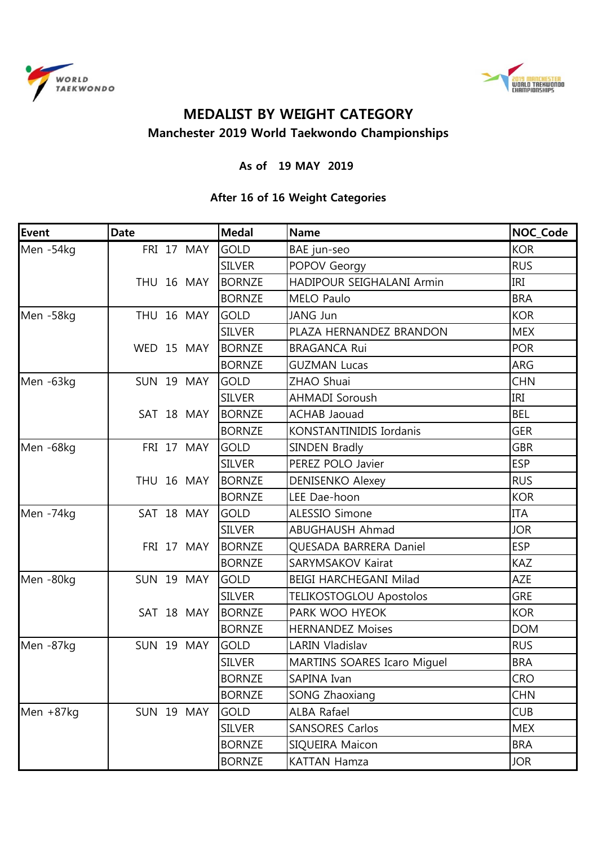



# **MEDALIST BY WEIGHT CATEGORY Manchester 2019 World Taekwondo Championships**

### **As of 19 MAY 2019**

## **After 16 of 16 Weight Categories**

| Event     | <b>Date</b> |            | <b>Medal</b>  | Name                           | <b>NOC_Code</b> |
|-----------|-------------|------------|---------------|--------------------------------|-----------------|
| Men -54kg |             | FRI 17 MAY | <b>GOLD</b>   | BAE jun-seo                    | <b>KOR</b>      |
|           |             |            | <b>SILVER</b> | POPOV Georgy                   | <b>RUS</b>      |
|           |             | THU 16 MAY | <b>BORNZE</b> | HADIPOUR SEIGHALANI Armin      | IRI             |
|           |             |            | <b>BORNZE</b> | MELO Paulo                     | <b>BRA</b>      |
| Men -58kg |             | THU 16 MAY | <b>GOLD</b>   | JANG Jun                       | <b>KOR</b>      |
|           |             |            | <b>SILVER</b> | PLAZA HERNANDEZ BRANDON        | <b>MEX</b>      |
|           |             | WED 15 MAY | <b>BORNZE</b> | <b>BRAGANCA Rui</b>            | <b>POR</b>      |
|           |             |            | <b>BORNZE</b> | <b>GUZMAN Lucas</b>            | ARG             |
| Men -63kg |             | SUN 19 MAY | <b>GOLD</b>   | ZHAO Shuai                     | <b>CHN</b>      |
|           |             |            | <b>SILVER</b> | <b>AHMADI Soroush</b>          | IRI             |
|           |             | SAT 18 MAY | <b>BORNZE</b> | ACHAB Jaouad                   | <b>BEL</b>      |
|           |             |            | <b>BORNZE</b> | KONSTANTINIDIS Iordanis        | <b>GER</b>      |
| Men -68kg |             | FRI 17 MAY | <b>GOLD</b>   | <b>SINDEN Bradly</b>           | <b>GBR</b>      |
|           |             |            | <b>SILVER</b> | PEREZ POLO Javier              | <b>ESP</b>      |
|           |             | THU 16 MAY | <b>BORNZE</b> | DENISENKO Alexey               | <b>RUS</b>      |
|           |             |            | <b>BORNZE</b> | LEE Dae-hoon                   | <b>KOR</b>      |
| Men -74kg |             | SAT 18 MAY | <b>GOLD</b>   | ALESSIO Simone                 | <b>ITA</b>      |
|           |             |            | <b>SILVER</b> | ABUGHAUSH Ahmad                | <b>JOR</b>      |
|           |             | FRI 17 MAY | <b>BORNZE</b> | QUESADA BARRERA Daniel         | <b>ESP</b>      |
|           |             |            | <b>BORNZE</b> | SARYMSAKOV Kairat              | KAZ             |
| Men -80kg |             | SUN 19 MAY | <b>GOLD</b>   | BEIGI HARCHEGANI Milad         | <b>AZE</b>      |
|           |             |            | <b>SILVER</b> | <b>TELIKOSTOGLOU Apostolos</b> | <b>GRE</b>      |
|           |             | SAT 18 MAY | <b>BORNZE</b> | PARK WOO HYEOK                 | <b>KOR</b>      |
|           |             |            | <b>BORNZE</b> | <b>HERNANDEZ Moises</b>        | <b>DOM</b>      |
| Men -87kg |             | SUN 19 MAY | <b>GOLD</b>   | LARIN Vladislav                | <b>RUS</b>      |
|           |             |            | <b>SILVER</b> | MARTINS SOARES Icaro Miguel    | <b>BRA</b>      |
|           |             |            | <b>BORNZE</b> | SAPINA Ivan                    | CRO             |
|           |             |            | <b>BORNZE</b> | SONG Zhaoxiang                 | <b>CHN</b>      |
| Men +87kg |             | SUN 19 MAY | <b>GOLD</b>   | ALBA Rafael                    | <b>CUB</b>      |
|           |             |            | <b>SILVER</b> | <b>SANSORES Carlos</b>         | <b>MEX</b>      |
|           |             |            | <b>BORNZE</b> | SIQUEIRA Maicon                | <b>BRA</b>      |
|           |             |            | <b>BORNZE</b> | <b>KATTAN Hamza</b>            | <b>JOR</b>      |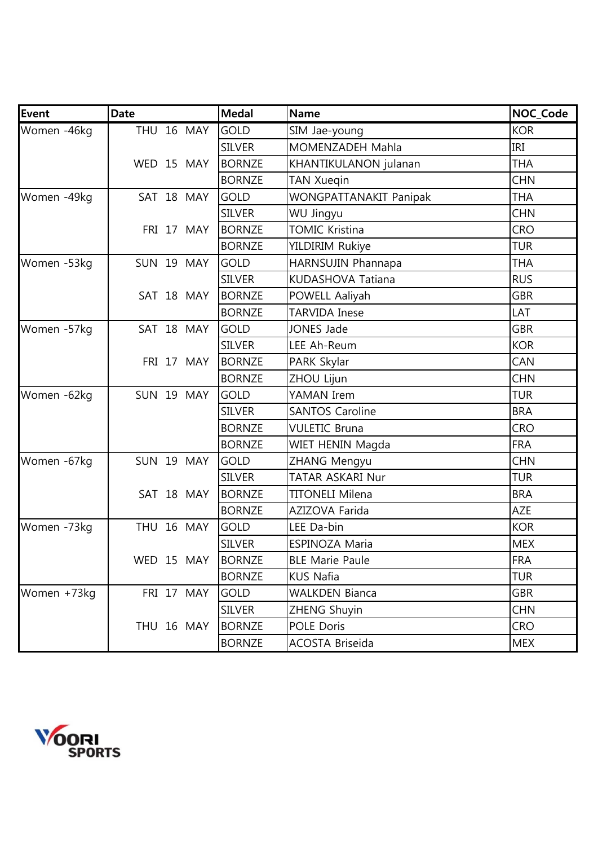| <b>Event</b> | <b>Date</b> | <b>Medal</b>  | <b>Name</b>            | NOC_Code   |
|--------------|-------------|---------------|------------------------|------------|
| Women -46kg  | THU 16 MAY  | <b>GOLD</b>   | SIM Jae-young          | <b>KOR</b> |
|              |             | <b>SILVER</b> | MOMENZADEH Mahla       | IRI        |
|              | WED 15 MAY  | <b>BORNZE</b> | KHANTIKULANON julanan  | <b>THA</b> |
|              |             | <b>BORNZE</b> | <b>TAN Xuegin</b>      | <b>CHN</b> |
| Women -49kg  | SAT 18 MAY  | <b>GOLD</b>   | WONGPATTANAKIT Panipak | <b>THA</b> |
|              |             | <b>SILVER</b> | <b>WU Jingyu</b>       | <b>CHN</b> |
|              | FRI 17 MAY  | <b>BORNZE</b> | <b>TOMIC Kristina</b>  | CRO        |
|              |             | <b>BORNZE</b> | <b>YILDIRIM Rukiye</b> | <b>TUR</b> |
| Women -53kg  | SUN 19 MAY  | <b>GOLD</b>   | HARNSUJIN Phannapa     | <b>THA</b> |
|              |             | <b>SILVER</b> | KUDASHOVA Tatiana      | <b>RUS</b> |
|              | SAT 18 MAY  | <b>BORNZE</b> | POWELL Aaliyah         | <b>GBR</b> |
|              |             | <b>BORNZE</b> | <b>TARVIDA Inese</b>   | LAT        |
| Women -57kg  | SAT 18 MAY  | <b>GOLD</b>   | <b>JONES Jade</b>      | <b>GBR</b> |
|              |             | <b>SILVER</b> | LEE Ah-Reum            | <b>KOR</b> |
|              | FRI 17 MAY  | <b>BORNZE</b> | PARK Skylar            | CAN        |
|              |             | <b>BORNZE</b> | ZHOU Lijun             | <b>CHN</b> |
| Women -62kg  | SUN 19 MAY  | <b>GOLD</b>   | YAMAN Irem             | <b>TUR</b> |
|              |             | <b>SILVER</b> | <b>SANTOS Caroline</b> | <b>BRA</b> |
|              |             | <b>BORNZE</b> | <b>VULETIC Bruna</b>   | CRO        |
|              |             | <b>BORNZE</b> | WIET HENIN Magda       | <b>FRA</b> |
| Women -67kg  | SUN 19 MAY  | <b>GOLD</b>   | ZHANG Mengyu           | <b>CHN</b> |
|              |             | <b>SILVER</b> | TATAR ASKARI Nur       | <b>TUR</b> |
|              | SAT 18 MAY  | <b>BORNZE</b> | <b>TITONELI Milena</b> | <b>BRA</b> |
|              |             | <b>BORNZE</b> | AZIZOVA Farida         | <b>AZE</b> |
| Women -73kg  | THU 16 MAY  | <b>GOLD</b>   | LEE Da-bin             | <b>KOR</b> |
|              |             | <b>SILVER</b> | ESPINOZA Maria         | <b>MEX</b> |
|              | WED 15 MAY  | <b>BORNZE</b> | <b>BLE Marie Paule</b> | FRA        |
|              |             | <b>BORNZE</b> | <b>KUS Nafia</b>       | <b>TUR</b> |
| Women +73kg  | FRI 17 MAY  | <b>GOLD</b>   | <b>WALKDEN Bianca</b>  | <b>GBR</b> |
|              |             | <b>SILVER</b> | ZHENG Shuyin           | <b>CHN</b> |
|              | THU 16 MAY  | <b>BORNZE</b> | POLE Doris             | <b>CRO</b> |
|              |             | <b>BORNZE</b> | ACOSTA Briseida        | <b>MEX</b> |

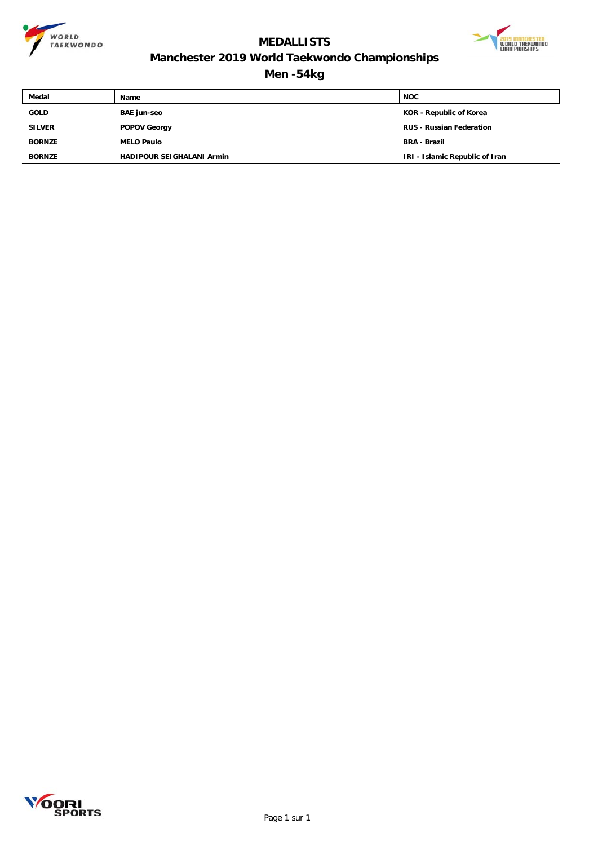



## **Manchester 2019 World Taekwondo Championships**

### **Men -54kg**

| <b>NOC</b><br>Medal<br><b>Name</b>                                                  |  |
|-------------------------------------------------------------------------------------|--|
| <b>GOLD</b><br>KOR - Republic of Korea<br><b>BAE jun-seo</b>                        |  |
| <b>SILVER</b><br><b>RUS - Russian Federation</b><br><b>POPOV Georgy</b>             |  |
| <b>BORNZE</b><br><b>MELO Paulo</b><br><b>BRA - Brazil</b>                           |  |
| IRI - Islamic Republic of Iran<br><b>BORNZE</b><br><b>HADIPOUR SEIGHALANI Armin</b> |  |

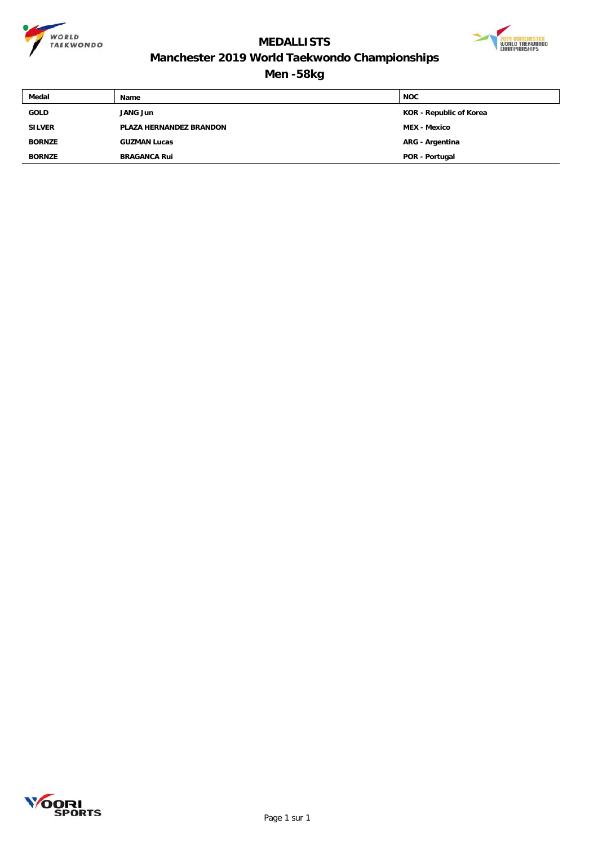



## **Manchester 2019 World Taekwondo Championships**

**Men -58kg**

| Medal         | <b>Name</b>                    | <b>NOC</b>              |
|---------------|--------------------------------|-------------------------|
| <b>GOLD</b>   | <b>JANG Jun</b>                | KOR - Republic of Korea |
| <b>SILVER</b> | <b>PLAZA HERNANDEZ BRANDON</b> | <b>MEX - Mexico</b>     |
| <b>BORNZE</b> | <b>GUZMAN Lucas</b>            | <b>ARG - Argentina</b>  |
| <b>BORNZE</b> | <b>BRAGANCA Rui</b>            | POR - Portugal          |

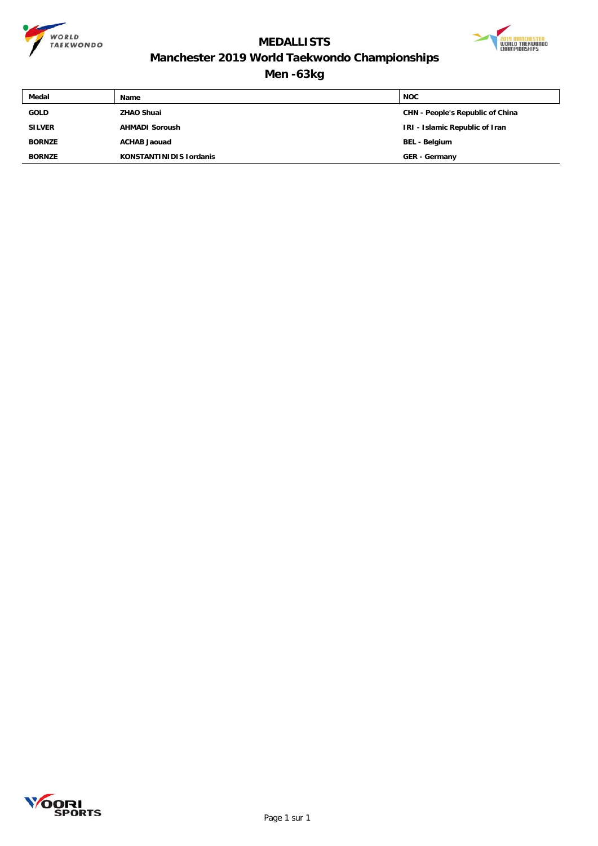



## **Manchester 2019 World Taekwondo Championships**

**Men -63kg**

| Medal         | Name                           | <b>NOC</b>                       |
|---------------|--------------------------------|----------------------------------|
| <b>GOLD</b>   | <b>ZHAO Shuai</b>              | CHN - People's Republic of China |
| <b>SILVER</b> | <b>AHMADI Soroush</b>          | IRI - Islamic Republic of Iran   |
| <b>BORNZE</b> | <b>ACHAB Jaouad</b>            | BEL - Belgium                    |
| <b>BORNZE</b> | <b>KONSTANTINIDIS Iordanis</b> | <b>GER - Germany</b>             |

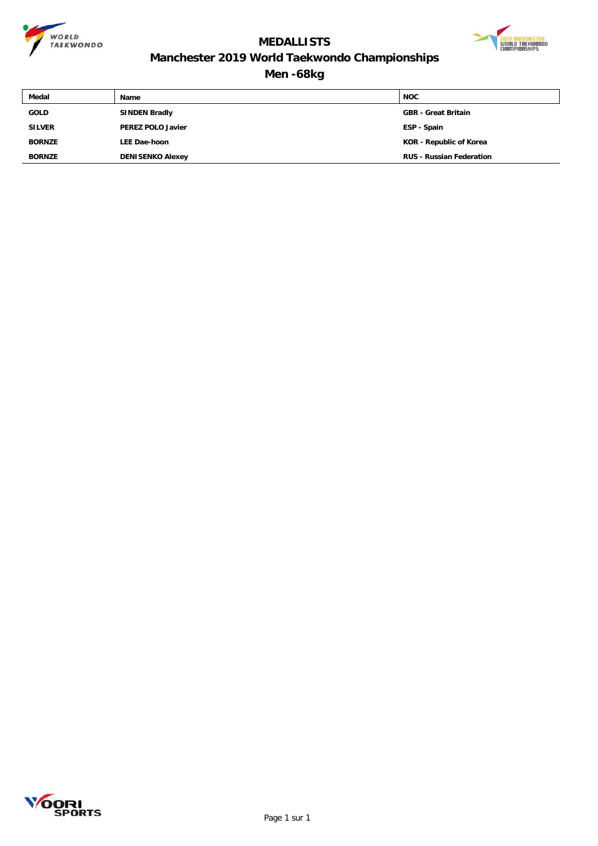



## **Manchester 2019 World Taekwondo Championships**

**Men -68kg**

| Medal         | <b>Name</b>              | <b>NOC</b>                      |
|---------------|--------------------------|---------------------------------|
| <b>GOLD</b>   | <b>SINDEN Bradly</b>     | <b>GBR</b> - Great Britain      |
| <b>SILVER</b> | <b>PEREZ POLO Javier</b> | ESP - Spain                     |
| <b>BORNZE</b> | <b>LEE Dae-hoon</b>      | KOR - Republic of Korea         |
| <b>BORNZE</b> | <b>DENISENKO Alexey</b>  | <b>RUS - Russian Federation</b> |

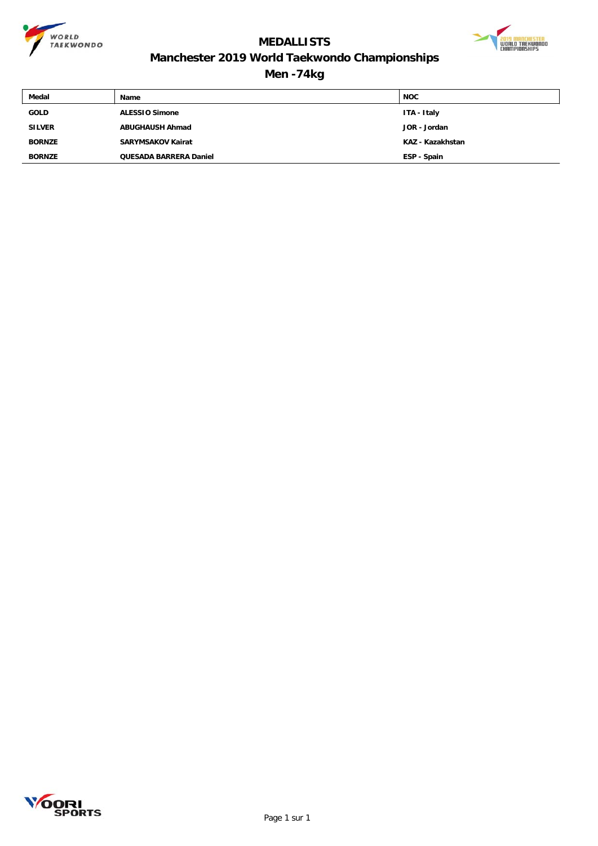



### **Manchester 2019 World Taekwondo Championships**

**Men -74kg**

| Medal         | <b>Name</b>                   | <b>NOC</b>       |
|---------------|-------------------------------|------------------|
| <b>GOLD</b>   | <b>ALESSIO Simone</b>         | ITA - Italy      |
| <b>SILVER</b> | <b>ABUGHAUSH Ahmad</b>        | JOR - Jordan     |
| <b>BORNZE</b> | <b>SARYMSAKOV Kairat</b>      | KAZ - Kazakhstan |
| <b>BORNZE</b> | <b>QUESADA BARRERA Daniel</b> | ESP - Spain      |

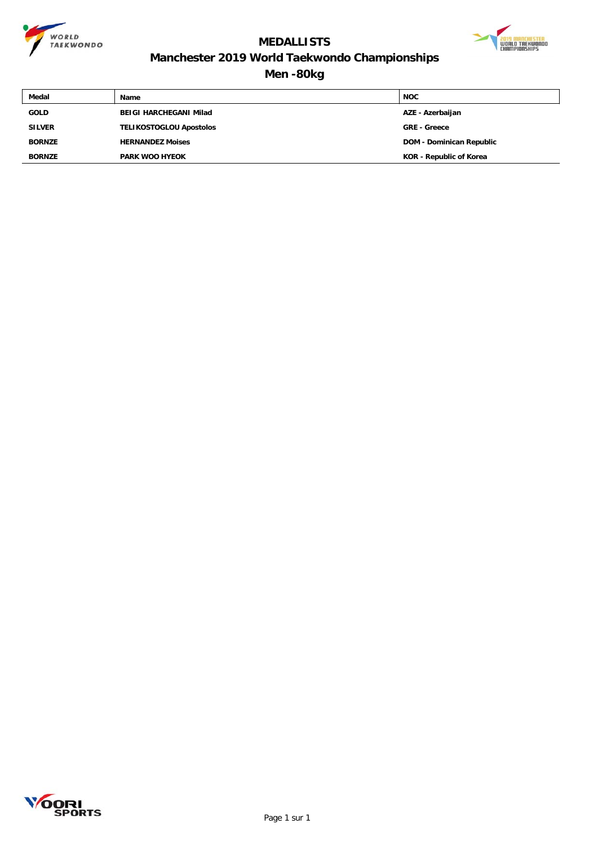



## **Manchester 2019 World Taekwondo Championships**

**Men -80kg**

| Medal         | Name                           | <b>NOC</b>                      |
|---------------|--------------------------------|---------------------------------|
| GOLD          | <b>BEIGI HARCHEGANI Milad</b>  | AZE - Azerbaijan                |
| <b>SILVER</b> | <b>TELIKOSTOGLOU Apostolos</b> | <b>GRE - Greece</b>             |
| <b>BORNZE</b> | <b>HERNANDEZ Moises</b>        | <b>DOM - Dominican Republic</b> |
| <b>BORNZE</b> | <b>PARK WOO HYEOK</b>          | <b>KOR</b> - Republic of Korea  |

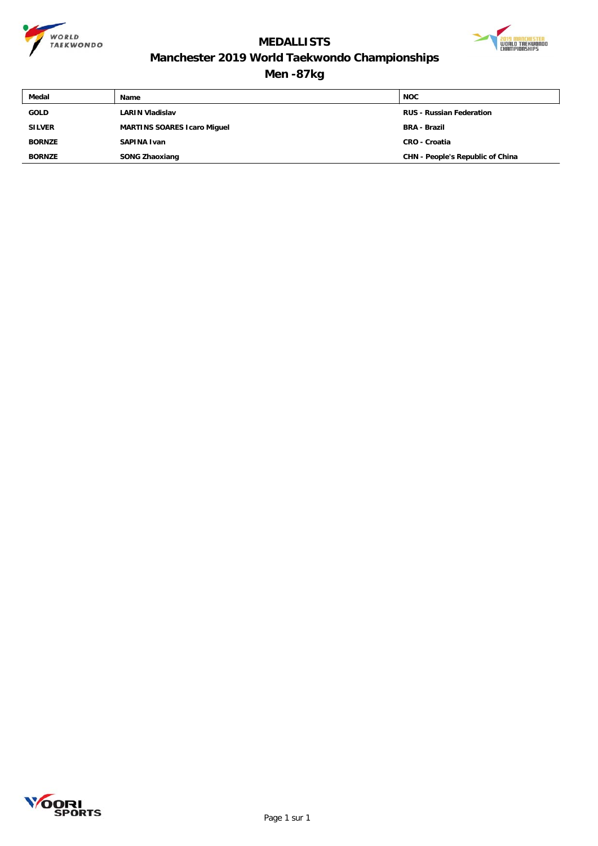



### **Manchester 2019 World Taekwondo Championships**

### **Men -87kg**

| Medal         | Name                               | <b>NOC</b>                       |
|---------------|------------------------------------|----------------------------------|
| <b>GOLD</b>   | <b>LARIN Vladislav</b>             | <b>RUS - Russian Federation</b>  |
| <b>SILVER</b> | <b>MARTINS SOARES Icaro Miguel</b> | <b>BRA - Brazil</b>              |
| <b>BORNZE</b> | SAPINA Ivan                        | <b>CRO - Croatia</b>             |
| <b>BORNZE</b> | <b>SONG Zhaoxiang</b>              | CHN - People's Republic of China |

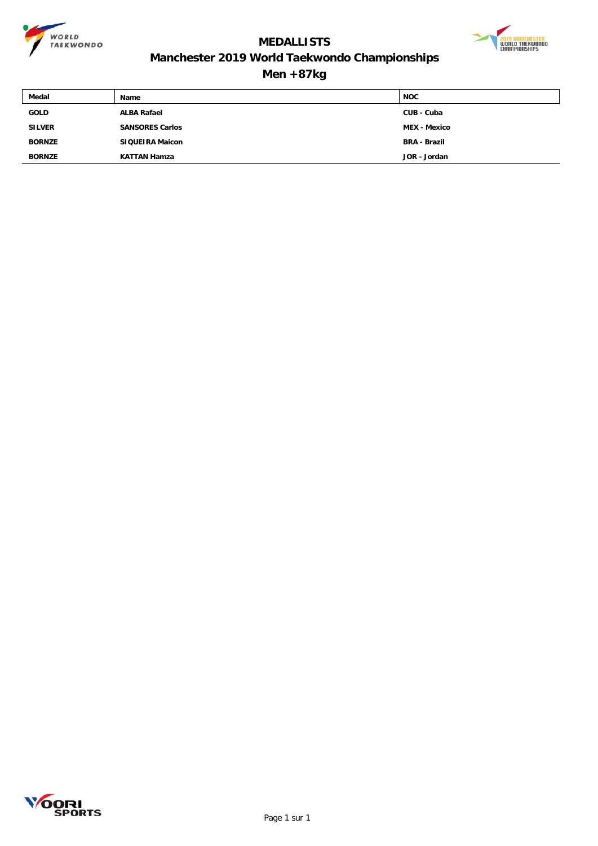



### **Manchester 2019 World Taekwondo Championships**

**Men +87kg**

| Medal         | Name                   | <b>NOC</b>          |
|---------------|------------------------|---------------------|
| GOLD          | <b>ALBA Rafael</b>     | CUB - Cuba          |
| <b>SILVER</b> | <b>SANSORES Carlos</b> | <b>MEX - Mexico</b> |
| <b>BORNZE</b> | <b>SIQUEIRA Maicon</b> | <b>BRA - Brazil</b> |
| <b>BORNZE</b> | <b>KATTAN Hamza</b>    | JOR - Jordan        |

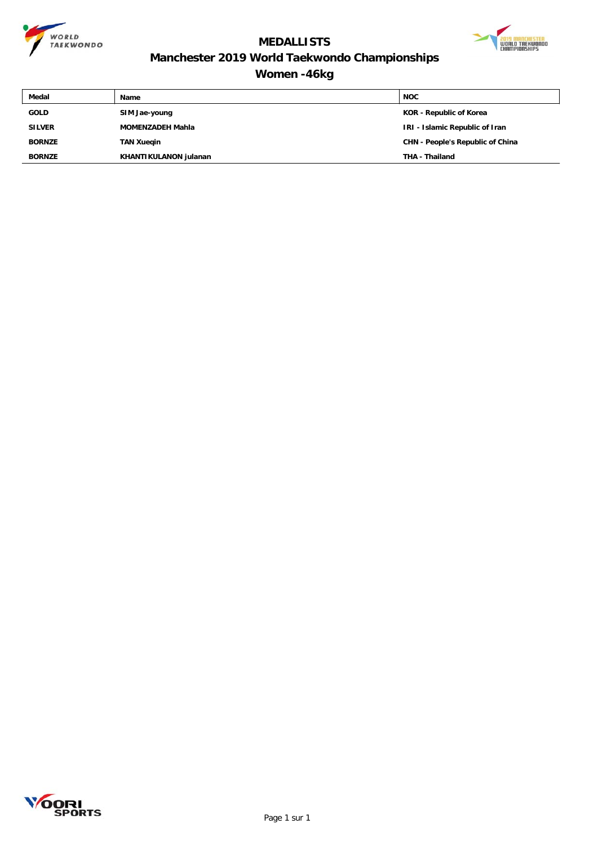



### **Manchester 2019 World Taekwondo Championships**

### **Women -46kg**

| Medal         | Name                    | <b>NOC</b>                       |
|---------------|-------------------------|----------------------------------|
| <b>GOLD</b>   | SIM Jae-young           | KOR - Republic of Korea          |
| <b>SILVER</b> | <b>MOMENZADEH Mahla</b> | IRI - Islamic Republic of Iran   |
| <b>BORNZE</b> | <b>TAN Xuegin</b>       | CHN - People's Republic of China |
| <b>BORNZE</b> | KHANTIKULANON julanan   | <b>THA - Thailand</b>            |

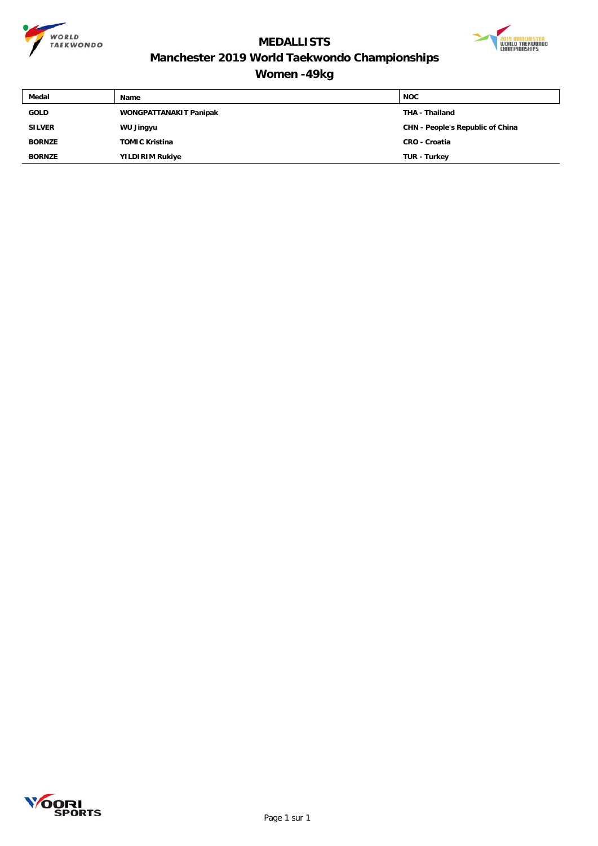



### **Manchester 2019 World Taekwondo Championships**

### **Women -49kg**

| Medal         | Name                          | <b>NOC</b>                       |
|---------------|-------------------------------|----------------------------------|
| <b>GOLD</b>   | <b>WONGPATTANAKIT Panipak</b> | <b>THA - Thailand</b>            |
| <b>SILVER</b> | WU Jingyu                     | CHN - People's Republic of China |
| <b>BORNZE</b> | <b>TOMIC Kristina</b>         | <b>CRO - Croatia</b>             |
| <b>BORNZE</b> | <b>YILDIRIM Rukiye</b>        | <b>TUR - Turkey</b>              |

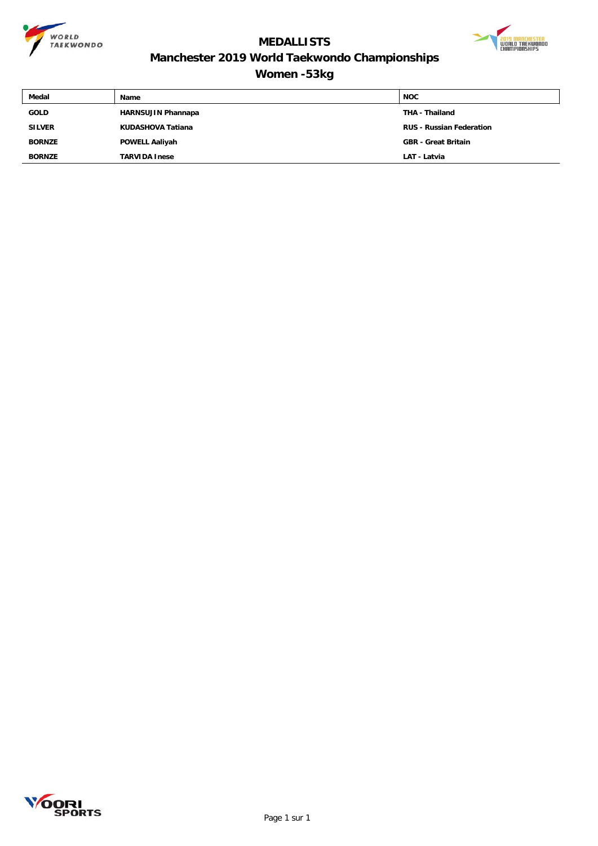



### **Manchester 2019 World Taekwondo Championships**

### **Women -53kg**

| Medal         | <b>Name</b>               | <b>NOC</b>                      |
|---------------|---------------------------|---------------------------------|
| <b>GOLD</b>   | <b>HARNSUJIN Phannapa</b> | THA - Thailand                  |
| <b>SILVER</b> | KUDASHOVA Tatiana         | <b>RUS - Russian Federation</b> |
| <b>BORNZE</b> | <b>POWELL Aaliyah</b>     | <b>GBR</b> - Great Britain      |
| <b>BORNZE</b> | <b>TARVIDA Inese</b>      | LAT - Latvia                    |

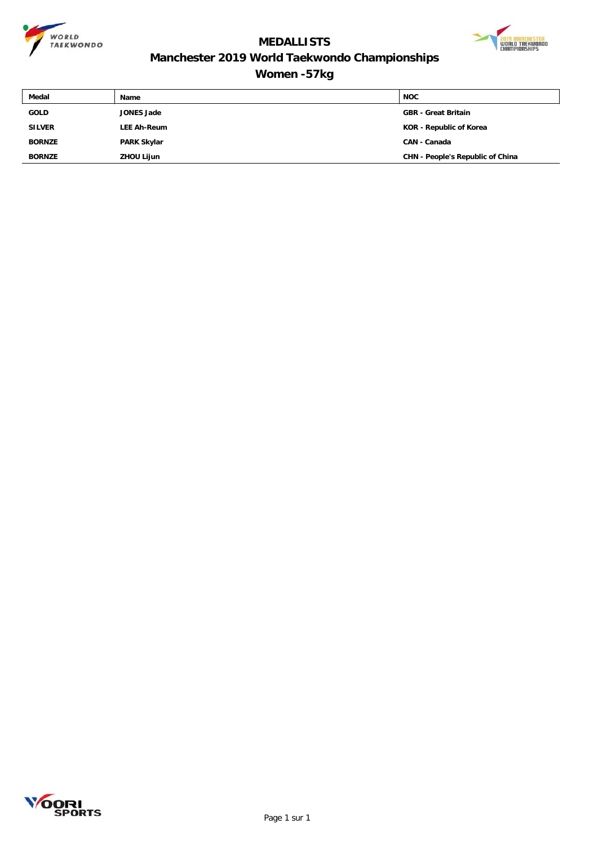



### **Manchester 2019 World Taekwondo Championships**

### **Women -57kg**

| Medal         | Name               | <b>NOC</b>                       |
|---------------|--------------------|----------------------------------|
| <b>GOLD</b>   | <b>JONES Jade</b>  | <b>GBR</b> - Great Britain       |
| <b>SILVER</b> | <b>LEE Ah-Reum</b> | KOR - Republic of Korea          |
| <b>BORNZE</b> | <b>PARK Skylar</b> | <b>CAN - Canada</b>              |
| <b>BORNZE</b> | ZHOU Lijun         | CHN - People's Republic of China |

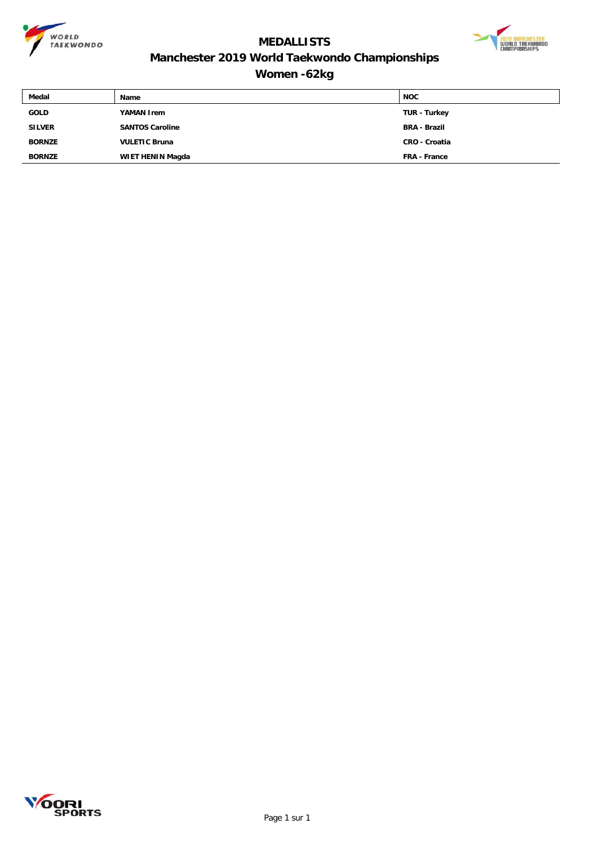



### **Manchester 2019 World Taekwondo Championships**

**Women -62kg**

| Medal         | <b>Name</b>            | <b>NOC</b>           |
|---------------|------------------------|----------------------|
| <b>GOLD</b>   | YAMAN Irem             | TUR - Turkey         |
| <b>SILVER</b> | <b>SANTOS Caroline</b> | <b>BRA - Brazil</b>  |
| <b>BORNZE</b> | <b>VULETIC Bruna</b>   | <b>CRO - Croatia</b> |
| <b>BORNZE</b> | WIET HENIN Magda       | <b>FRA - France</b>  |

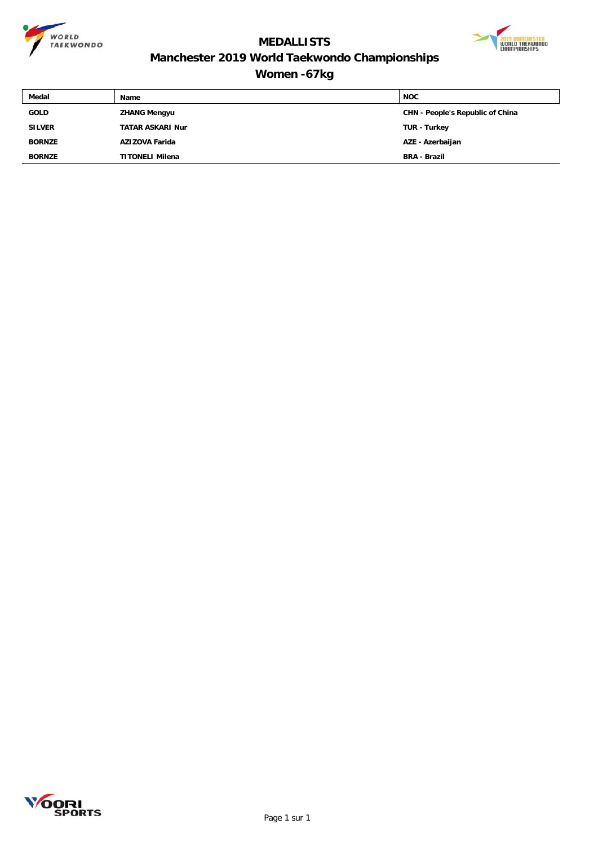



### **Manchester 2019 World Taekwondo Championships**

### **Women -67kg**

| Medal         | Name                    | <b>NOC</b>                       |
|---------------|-------------------------|----------------------------------|
| <b>GOLD</b>   | <b>ZHANG Mengyu</b>     | CHN - People's Republic of China |
| <b>SILVER</b> | <b>TATAR ASKARI Nur</b> | <b>TUR - Turkey</b>              |
| <b>BORNZE</b> | AZIZOVA Farida          | AZE - Azerbaijan                 |
| <b>BORNZE</b> | <b>TITONELI Milena</b>  | <b>BRA - Brazil</b>              |

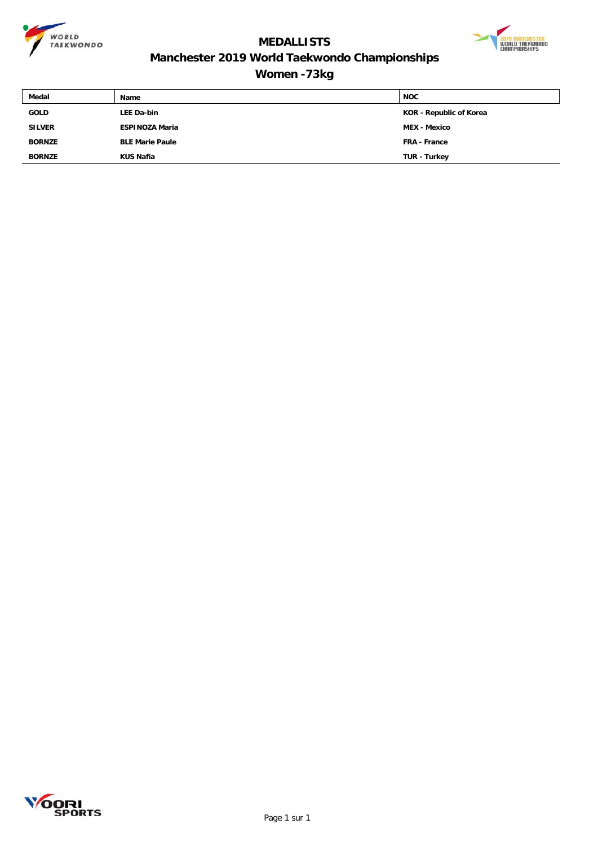



### **Manchester 2019 World Taekwondo Championships**

**Women -73kg**

| Medal         | Name                   | <b>NOC</b>              |
|---------------|------------------------|-------------------------|
| <b>GOLD</b>   | <b>LEE Da-bin</b>      | KOR - Republic of Korea |
| <b>SILVER</b> | <b>ESPINOZA Maria</b>  | <b>MEX - Mexico</b>     |
| <b>BORNZE</b> | <b>BLE Marie Paule</b> | <b>FRA - France</b>     |
| <b>BORNZE</b> | KUS Nafia              | TUR - Turkey            |